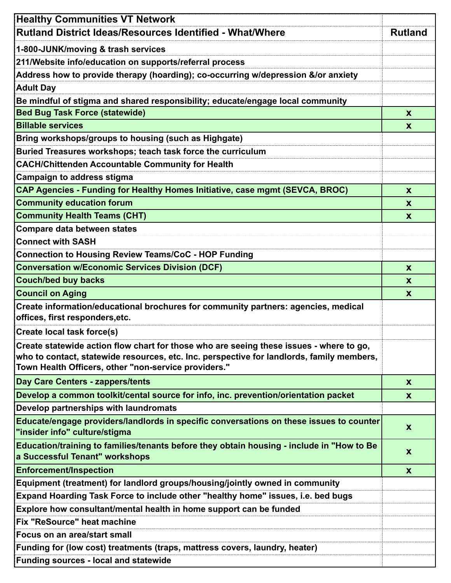| <b>Healthy Communities VT Network</b>                                                                                                                                                                                                        |                |
|----------------------------------------------------------------------------------------------------------------------------------------------------------------------------------------------------------------------------------------------|----------------|
| Rutland District Ideas/Resources Identified - What/Where                                                                                                                                                                                     | <b>Rutland</b> |
| 1-800-JUNK/moving & trash services                                                                                                                                                                                                           |                |
| 211/Website info/education on supports/referral process                                                                                                                                                                                      |                |
| Address how to provide therapy (hoarding); co-occurring w/depression &/or anxiety                                                                                                                                                            |                |
| <b>Adult Day</b>                                                                                                                                                                                                                             |                |
| Be mindful of stigma and shared responsibility; educate/engage local community                                                                                                                                                               |                |
| <b>Bed Bug Task Force (statewide)</b>                                                                                                                                                                                                        | X              |
| <b>Billable services</b>                                                                                                                                                                                                                     | X              |
| Bring workshops/groups to housing (such as Highgate)                                                                                                                                                                                         |                |
| Buried Treasures workshops; teach task force the curriculum                                                                                                                                                                                  |                |
| <b>CACH/Chittenden Accountable Community for Health</b>                                                                                                                                                                                      |                |
| Campaign to address stigma                                                                                                                                                                                                                   |                |
| CAP Agencies - Funding for Healthy Homes Initiative, case mgmt (SEVCA, BROC)                                                                                                                                                                 | X              |
| <b>Community education forum</b>                                                                                                                                                                                                             | X              |
| <b>Community Health Teams (CHT)</b>                                                                                                                                                                                                          | X              |
| Compare data between states                                                                                                                                                                                                                  |                |
| <b>Connect with SASH</b>                                                                                                                                                                                                                     |                |
| Connection to Housing Review Teams/CoC - HOP Funding                                                                                                                                                                                         |                |
| <b>Conversation w/Economic Services Division (DCF)</b>                                                                                                                                                                                       | $\mathbf x$    |
| <b>Couch/bed buy backs</b>                                                                                                                                                                                                                   | X              |
| <b>Council on Aging</b>                                                                                                                                                                                                                      | X              |
| Create information/educational brochures for community partners: agencies, medical<br>offices, first responders, etc.                                                                                                                        |                |
| <b>Create local task force(s)</b>                                                                                                                                                                                                            |                |
| Create statewide action flow chart for those who are seeing these issues - where to go,<br>who to contact, statewide resources, etc. Inc. perspective for landlords, family members,<br>Town Health Officers, other "non-service providers." |                |
| <b>Day Care Centers - zappers/tents</b>                                                                                                                                                                                                      | X              |
|                                                                                                                                                                                                                                              |                |
| Develop a common toolkit/cental source for info, inc. prevention/orientation packet<br>Develop partnerships with laundromats                                                                                                                 | X              |
|                                                                                                                                                                                                                                              |                |
| Educate/engage providers/landlords in specific conversations on these issues to counter<br>"insider info" culture/stigma                                                                                                                     | X              |
| Education/training to families/tenants before they obtain housing - include in "How to Be<br>a Successful Tenant" workshops                                                                                                                  | X              |
| <b>Enforcement/Inspection</b>                                                                                                                                                                                                                | X              |
| Equipment (treatment) for landlord groups/housing/jointly owned in community                                                                                                                                                                 |                |
| Expand Hoarding Task Force to include other "healthy home" issues, i.e. bed bugs                                                                                                                                                             |                |
| Explore how consultant/mental health in home support can be funded                                                                                                                                                                           |                |
| Fix "ReSource" heat machine                                                                                                                                                                                                                  |                |
| Focus on an area/start small                                                                                                                                                                                                                 |                |
| Funding for (low cost) treatments (traps, mattress covers, laundry, heater)                                                                                                                                                                  |                |
| Funding sources - local and statewide                                                                                                                                                                                                        |                |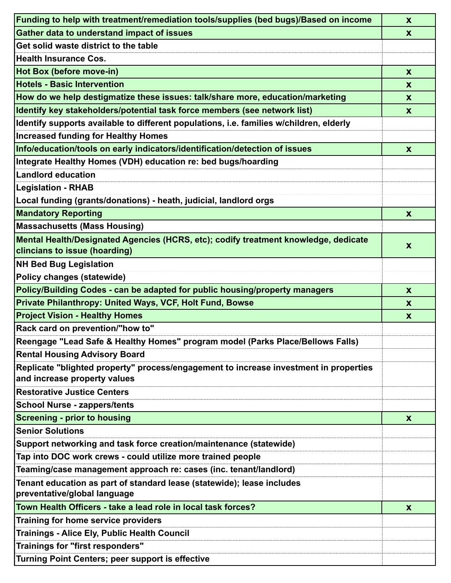| Funding to help with treatment/remediation tools/supplies (bed bugs)/Based on income                                  | $\mathbf x$               |
|-----------------------------------------------------------------------------------------------------------------------|---------------------------|
| <b>Gather data to understand impact of issues</b>                                                                     | $\mathbf x$               |
| Get solid waste district to the table                                                                                 |                           |
| <b>Health Insurance Cos.</b>                                                                                          |                           |
| Hot Box (before move-in)                                                                                              | $\mathbf x$               |
| <b>Hotels - Basic Intervention</b>                                                                                    | X                         |
| How do we help destigmatize these issues: talk/share more, education/marketing                                        | $\mathbf x$               |
| Identify key stakeholders/potential task force members (see network list)                                             | $\mathbf{x}$              |
| Identify supports available to different populations, i.e. families w/children, elderly                               |                           |
| <b>Increased funding for Healthy Homes</b>                                                                            |                           |
| Info/education/tools on early indicators/identification/detection of issues                                           | $\mathbf x$               |
| Integrate Healthy Homes (VDH) education re: bed bugs/hoarding                                                         |                           |
| <b>Landlord education</b>                                                                                             |                           |
| <b>Legislation - RHAB</b>                                                                                             |                           |
| Local funding (grants/donations) - heath, judicial, landlord orgs                                                     |                           |
| <b>Mandatory Reporting</b>                                                                                            | $\mathbf{x}$              |
| <b>Massachusetts (Mass Housing)</b>                                                                                   |                           |
| Mental Health/Designated Agencies (HCRS, etc); codify treatment knowledge, dedicate                                   |                           |
| clincians to issue (hoarding)                                                                                         | $\boldsymbol{\mathsf{X}}$ |
| <b>NH Bed Bug Legislation</b>                                                                                         |                           |
| Policy changes (statewide)                                                                                            |                           |
| Policy/Building Codes - can be adapted for public housing/property managers                                           | X                         |
| Private Philanthropy: United Ways, VCF, Holt Fund, Bowse                                                              | X                         |
| <b>Project Vision - Healthy Homes</b>                                                                                 | $\boldsymbol{X}$          |
| Rack card on prevention/"how to"                                                                                      |                           |
| Reengage "Lead Safe & Healthy Homes" program model (Parks Place/Bellows Falls)                                        |                           |
| <b>Rental Housing Advisory Board</b>                                                                                  |                           |
| Replicate "blighted property" process/engagement to increase investment in properties<br>and increase property values |                           |
| <b>Restorative Justice Centers</b>                                                                                    |                           |
|                                                                                                                       |                           |
| <b>School Nurse - zappers/tents</b><br><b>Screening - prior to housing</b>                                            |                           |
| <b>Senior Solutions</b>                                                                                               | X                         |
| Support networking and task force creation/maintenance (statewide)                                                    |                           |
| Tap into DOC work crews - could utilize more trained people                                                           |                           |
| Teaming/case management approach re: cases (inc. tenant/landlord)                                                     |                           |
| Tenant education as part of standard lease (statewide); lease includes                                                |                           |
| preventative/global language                                                                                          |                           |
| Town Health Officers - take a lead role in local task forces?                                                         | $\mathbf{x}$              |
| Training for home service providers                                                                                   |                           |
| Trainings - Alice Ely, Public Health Council                                                                          |                           |
| Trainings for "first responders"                                                                                      |                           |
| Turning Point Centers; peer support is effective                                                                      |                           |